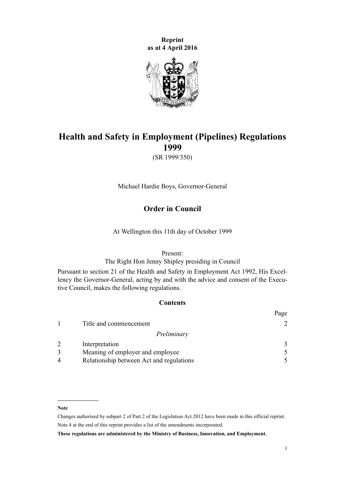**Reprint as at 4 April 2016**



# **Health and Safety in Employment (Pipelines) Regulations 1999**

(SR 1999/350)

Michael Hardie Boys, Governor-General

## **Order in Council**

At Wellington this 11th day of October 1999

## Present:

The Right Hon Jenny Shipley presiding in Council

Pursuant to [section 21](http://prd-lgnz-nlb.prd.pco.net.nz/pdflink.aspx?id=DLM279280) of the Health and Safety in Employment Act 1992, His Excellency the Governor-General, acting by and with the advice and consent of the Executive Council, makes the following regulations.

## **Contents**

|                |                                          | Page          |
|----------------|------------------------------------------|---------------|
|                | Title and commencement                   |               |
|                | Preliminary                              |               |
| 2              | Interpretation                           | $\mathcal{F}$ |
| 3              | Meaning of employer and employee         | $\mathcal{F}$ |
| $\overline{4}$ | Relationship between Act and regulations |               |

#### **Note**

Changes authorised by [subpart 2](http://prd-lgnz-nlb.prd.pco.net.nz/pdflink.aspx?id=DLM2998524) of Part 2 of the Legislation Act 2012 have been made in this official reprint. Note 4 at the end of this reprint provides a list of the amendments incorporated.

**These regulations are administered by the Ministry of Business, Innovation, and Employment.**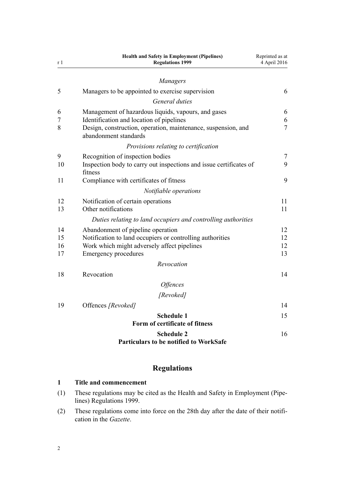<span id="page-1-0"></span>

| r 1 | Health and Safety in Employment (Pipelines)<br><b>Regulations 1999</b>                 | Reprinted as at<br>4 April 2016 |
|-----|----------------------------------------------------------------------------------------|---------------------------------|
|     | Managers                                                                               |                                 |
| 5   | Managers to be appointed to exercise supervision                                       | 6                               |
|     | General duties                                                                         |                                 |
| 6   | Management of hazardous liquids, vapours, and gases                                    | 6                               |
| 7   | Identification and location of pipelines                                               | 6                               |
| 8   | Design, construction, operation, maintenance, suspension, and<br>abandonment standards | $\overline{7}$                  |
|     | Provisions relating to certification                                                   |                                 |
| 9   | Recognition of inspection bodies                                                       | $\overline{7}$                  |
| 10  | Inspection body to carry out inspections and issue certificates of<br>fitness          | 9                               |
| 11  | Compliance with certificates of fitness                                                | 9                               |
|     | Notifiable operations                                                                  |                                 |
| 12  | Notification of certain operations                                                     | 11                              |
| 13  | Other notifications                                                                    | 11                              |
|     | Duties relating to land occupiers and controlling authorities                          |                                 |
| 14  | Abandonment of pipeline operation                                                      | 12                              |
| 15  | Notification to land occupiers or controlling authorities                              | 12                              |
| 16  | Work which might adversely affect pipelines                                            | 12                              |
| 17  | <b>Emergency procedures</b>                                                            | 13                              |
|     | Revocation                                                                             |                                 |
| 18  | Revocation                                                                             | 14                              |
|     | <i><b>Offences</b></i>                                                                 |                                 |
|     | [Revoked]                                                                              |                                 |
| 19  | Offences [Revoked]                                                                     | 14                              |
|     | <b>Schedule 1</b>                                                                      | 15                              |
|     | Form of certificate of fitness                                                         |                                 |
|     | <b>Schedule 2</b><br><b>Particulars to be notified to WorkSafe</b>                     | 16                              |

# **Regulations**

## **1 Title and commencement**

- (1) These regulations may be cited as the Health and Safety in Employment (Pipelines) Regulations 1999.
- (2) These regulations come into force on the 28th day after the date of their notification in the *Gazette*.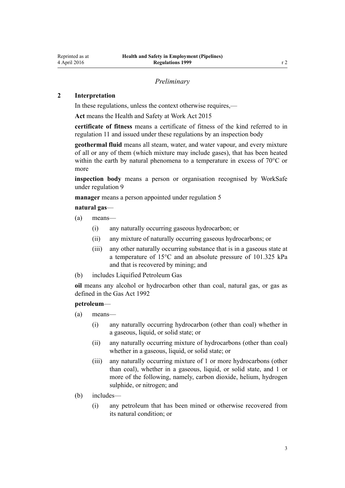## *Preliminary*

#### <span id="page-2-0"></span>**2 Interpretation**

In these regulations, unless the context otherwise requires,—

**Act** means the [Health and Safety at Work Act 2015](http://prd-lgnz-nlb.prd.pco.net.nz/pdflink.aspx?id=DLM5976602)

**certificate of fitness** means a certificate of fitness of the kind referred to in [regulation 11](#page-8-0) and issued under these regulations by an inspection body

**geothermal fluid** means all steam, water, and water vapour, and every mixture of all or any of them (which mixture may include gases), that has been heated within the earth by natural phenomena to a temperature in excess of 70°C or more

**inspection body** means a person or organisation recognised by WorkSafe under [regulation 9](#page-6-0)

**manager** means a person appointed under [regulation 5](#page-5-0)

#### **natural gas**—

- (a) means—
	- (i) any naturally occurring gaseous hydrocarbon; or
	- (ii) any mixture of naturally occurring gaseous hydrocarbons; or
	- (iii) any other naturally occurring substance that is in a gaseous state at a temperature of 15°C and an absolute pressure of 101.325 kPa and that is recovered by mining; and
- (b) includes Liquified Petroleum Gas

**oil** means any alcohol or hydrocarbon other than coal, natural gas, or gas as defined in the [Gas Act 1992](http://prd-lgnz-nlb.prd.pco.net.nz/pdflink.aspx?id=DLM285411)

### **petroleum**—

- (a) means—
	- (i) any naturally occurring hydrocarbon (other than coal) whether in a gaseous, liquid, or solid state; or
	- (ii) any naturally occurring mixture of hydrocarbons (other than coal) whether in a gaseous, liquid, or solid state; or
	- (iii) any naturally occurring mixture of 1 or more hydrocarbons (other than coal), whether in a gaseous, liquid, or solid state, and 1 or more of the following, namely, carbon dioxide, helium, hydrogen sulphide, or nitrogen; and
- (b) includes—
	- (i) any petroleum that has been mined or otherwise recovered from its natural condition; or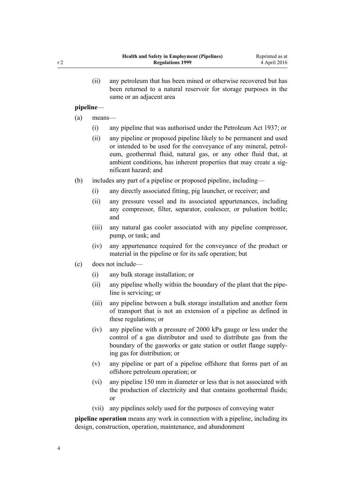(ii) any petroleum that has been mined or otherwise recovered but has been returned to a natural reservoir for storage purposes in the same or an adjacent area

#### **pipeline**—

- (a) means—
	- (i) any pipeline that was authorised under the Petroleum Act 1937; or
	- (ii) any pipeline or proposed pipeline likely to be permanent and used or intended to be used for the conveyance of any mineral, petroleum, geothermal fluid, natural gas, or any other fluid that, at ambient conditions, has inherent properties that may create a significant hazard; and
- (b) includes any part of a pipeline or proposed pipeline, including—
	- (i) any directly associated fitting, pig launcher, or receiver; and
	- (ii) any pressure vessel and its associated appurtenances, including any compressor, filter, separator, coalescer, or pulsation bottle; and
	- (iii) any natural gas cooler associated with any pipeline compressor, pump, or tank; and
	- (iv) any appurtenance required for the conveyance of the product or material in the pipeline or for its safe operation; but
- (c) does not include—
	- (i) any bulk storage installation; or
	- (ii) any pipeline wholly within the boundary of the plant that the pipeline is servicing; or
	- (iii) any pipeline between a bulk storage installation and another form of transport that is not an extension of a pipeline as defined in these regulations; or
	- (iv) any pipeline with a pressure of 2000 kPa gauge or less under the control of a gas distributor and used to distribute gas from the boundary of the gasworks or gate station or outlet flange supplying gas for distribution; or
	- (v) any pipeline or part of a pipeline offshore that forms part of an offshore petroleum operation; or
	- (vi) any pipeline 150 mm in diameter or less that is not associated with the production of electricity and that contains geothermal fluids; or
	- (vii) any pipelines solely used for the purposes of conveying water

**pipeline operation** means any work in connection with a pipeline, including its design, construction, operation, maintenance, and abandonment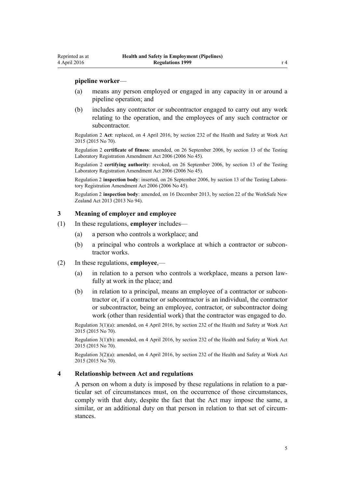#### <span id="page-4-0"></span>**pipeline worker**—

- (a) means any person employed or engaged in any capacity in or around a pipeline operation; and
- (b) includes any contractor or subcontractor engaged to carry out any work relating to the operation, and the employees of any such contractor or subcontractor.

Regulation 2 **Act**: replaced, on 4 April 2016, by [section 232](http://prd-lgnz-nlb.prd.pco.net.nz/pdflink.aspx?id=DLM5977236) of the Health and Safety at Work Act 2015 (2015 No 70).

Regulation 2 **certificate of fitness**: amended, on 26 September 2006, by [section 13](http://prd-lgnz-nlb.prd.pco.net.nz/pdflink.aspx?id=DLM382636) of the Testing Laboratory Registration Amendment Act 2006 (2006 No 45).

Regulation 2 **certifying authority**: revoked, on 26 September 2006, by [section 13](http://prd-lgnz-nlb.prd.pco.net.nz/pdflink.aspx?id=DLM382636) of the Testing Laboratory Registration Amendment Act 2006 (2006 No 45).

Regulation 2 **inspection body**: inserted, on 26 September 2006, by [section 13](http://prd-lgnz-nlb.prd.pco.net.nz/pdflink.aspx?id=DLM382636) of the Testing Laboratory Registration Amendment Act 2006 (2006 No 45).

Regulation 2 **inspection body**: amended, on 16 December 2013, by [section 22](http://prd-lgnz-nlb.prd.pco.net.nz/pdflink.aspx?id=DLM5302071) of the WorkSafe New Zealand Act 2013 (2013 No 94).

#### **3 Meaning of employer and employee**

- (1) In these regulations, **employer** includes—
	- (a) a person who controls a workplace; and
	- (b) a principal who controls a workplace at which a contractor or subcontractor works.
- (2) In these regulations, **employee**,—
	- (a) in relation to a person who controls a workplace, means a person lawfully at work in the place; and
	- (b) in relation to a principal, means an employee of a contractor or subcontractor or, if a contractor or subcontractor is an individual, the contractor or subcontractor, being an employee, contractor, or subcontractor doing work (other than residential work) that the contractor was engaged to do.

Regulation 3(1)(a): amended, on 4 April 2016, by [section 232](http://prd-lgnz-nlb.prd.pco.net.nz/pdflink.aspx?id=DLM5977236) of the Health and Safety at Work Act 2015 (2015 No 70).

Regulation 3(1)(b): amended, on 4 April 2016, by [section 232](http://prd-lgnz-nlb.prd.pco.net.nz/pdflink.aspx?id=DLM5977236) of the Health and Safety at Work Act 2015 (2015 No 70).

Regulation 3(2)(a): amended, on 4 April 2016, by [section 232](http://prd-lgnz-nlb.prd.pco.net.nz/pdflink.aspx?id=DLM5977236) of the Health and Safety at Work Act 2015 (2015 No 70).

#### **4 Relationship between Act and regulations**

A person on whom a duty is imposed by these regulations in relation to a particular set of circumstances must, on the occurrence of those circumstances, comply with that duty, despite the fact that the Act may impose the same, a similar, or an additional duty on that person in relation to that set of circumstances.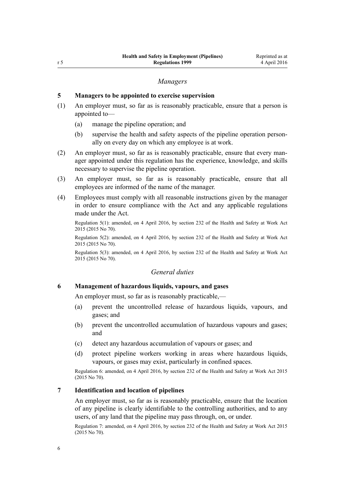### *Managers*

#### <span id="page-5-0"></span>**5 Managers to be appointed to exercise supervision**

- (1) An employer must, so far as is reasonably practicable, ensure that a person is appointed to—
	- (a) manage the pipeline operation; and
	- (b) supervise the health and safety aspects of the pipeline operation personally on every day on which any employee is at work.
- (2) An employer must, so far as is reasonably practicable, ensure that every manager appointed under this regulation has the experience, knowledge, and skills necessary to supervise the pipeline operation.
- (3) An employer must, so far as is reasonably practicable, ensure that all employees are informed of the name of the manager.
- (4) Employees must comply with all reasonable instructions given by the manager in order to ensure compliance with the Act and any applicable regulations made under the Act.

Regulation 5(1): amended, on 4 April 2016, by [section 232](http://prd-lgnz-nlb.prd.pco.net.nz/pdflink.aspx?id=DLM5977236) of the Health and Safety at Work Act 2015 (2015 No 70).

Regulation 5(2): amended, on 4 April 2016, by [section 232](http://prd-lgnz-nlb.prd.pco.net.nz/pdflink.aspx?id=DLM5977236) of the Health and Safety at Work Act 2015 (2015 No 70).

Regulation 5(3): amended, on 4 April 2016, by [section 232](http://prd-lgnz-nlb.prd.pco.net.nz/pdflink.aspx?id=DLM5977236) of the Health and Safety at Work Act 2015 (2015 No 70).

## *General duties*

### **6 Management of hazardous liquids, vapours, and gases**

An employer must, so far as is reasonably practicable,—

- (a) prevent the uncontrolled release of hazardous liquids, vapours, and gases; and
- (b) prevent the uncontrolled accumulation of hazardous vapours and gases; and
- (c) detect any hazardous accumulation of vapours or gases; and
- (d) protect pipeline workers working in areas where hazardous liquids, vapours, or gases may exist, particularly in confined spaces.

Regulation 6: amended, on 4 April 2016, by [section 232](http://prd-lgnz-nlb.prd.pco.net.nz/pdflink.aspx?id=DLM5977236) of the Health and Safety at Work Act 2015 (2015 No 70).

## **7 Identification and location of pipelines**

An employer must, so far as is reasonably practicable, ensure that the location of any pipeline is clearly identifiable to the controlling authorities, and to any users, of any land that the pipeline may pass through, on, or under.

Regulation 7: amended, on 4 April 2016, by [section 232](http://prd-lgnz-nlb.prd.pco.net.nz/pdflink.aspx?id=DLM5977236) of the Health and Safety at Work Act 2015 (2015 No 70).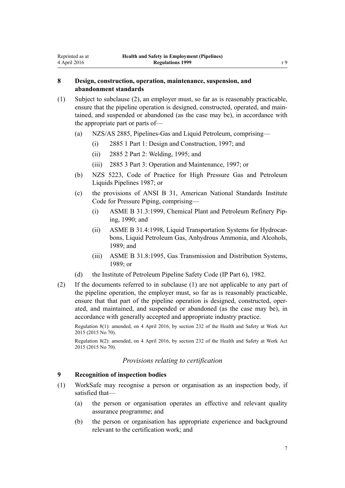## **8 Design, construction, operation, maintenance, suspension, and abandonment standards**

<span id="page-6-0"></span>Reprinted as at 4 April 2016

- (1) Subject to subclause (2), an employer must, so far as is reasonably practicable, ensure that the pipeline operation is designed, constructed, operated, and maintained, and suspended or abandoned (as the case may be), in accordance with the appropriate part or parts of—
	- (a) NZS/AS 2885, Pipelines-Gas and Liquid Petroleum, comprising—
		- (i) 2885 1 Part 1: Design and Construction, 1997; and
		- (ii) 2885 2 Part 2: Welding, 1995; and
		- (iii) 2885 3 Part 3: Operation and Maintenance, 1997; or
	- (b) NZS 5223, Code of Practice for High Pressure Gas and Petroleum Liquids Pipelines 1987; or
	- (c) the provisions of ANSI B 31, American National Standards Institute Code for Pressure Piping, comprising—
		- (i) ASME B 31.3:1999, Chemical Plant and Petroleum Refinery Piping, 1990; and
		- (ii) ASME B 31.4:1998, Liquid Transportation Systems for Hydrocarbons, Liquid Petroleum Gas, Anhydrous Ammonia, and Alcohols, 1989; and
		- (iii) ASME B 31.8:1995, Gas Transmission and Distribution Systems, 1989; or
	- (d) the Institute of Petroleum Pipeline Safety Code (IP Part 6), 1982.
- (2) If the documents referred to in subclause (1) are not applicable to any part of the pipeline operation, the employer must, so far as is reasonably practicable, ensure that that part of the pipeline operation is designed, constructed, operated, and maintained, and suspended or abandoned (as the case may be), in accordance with generally accepted and appropriate industry practice.

Regulation 8(1): amended, on 4 April 2016, by [section 232](http://prd-lgnz-nlb.prd.pco.net.nz/pdflink.aspx?id=DLM5977236) of the Health and Safety at Work Act 2015 (2015 No 70).

Regulation 8(2): amended, on 4 April 2016, by [section 232](http://prd-lgnz-nlb.prd.pco.net.nz/pdflink.aspx?id=DLM5977236) of the Health and Safety at Work Act 2015 (2015 No 70).

#### *Provisions relating to certification*

#### **9 Recognition of inspection bodies**

- (1) WorkSafe may recognise a person or organisation as an inspection body, if satisfied that—
	- (a) the person or organisation operates an effective and relevant quality assurance programme; and
	- (b) the person or organisation has appropriate experience and background relevant to the certification work; and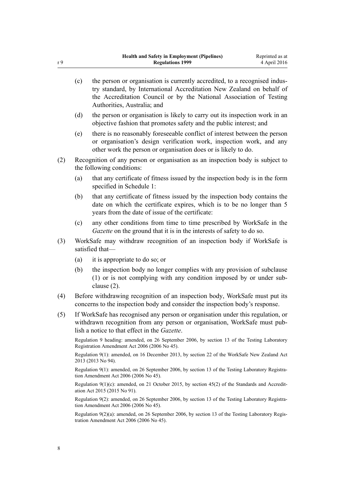- (c) the person or organisation is currently accredited, to a recognised industry standard, by International Accreditation New Zealand on behalf of the Accreditation Council or by the National Association of Testing Authorities, Australia; and
- (d) the person or organisation is likely to carry out its inspection work in an objective fashion that promotes safety and the public interest; and
- (e) there is no reasonably foreseeable conflict of interest between the person or organisation's design verification work, inspection work, and any other work the person or organisation does or is likely to do.
- (2) Recognition of any person or organisation as an inspection body is subject to the following conditions:
	- (a) that any certificate of fitness issued by the inspection body is in the form specified in Schedule 1:
	- (b) that any certificate of fitness issued by the inspection body contains the date on which the certificate expires, which is to be no longer than 5 years from the date of issue of the certificate:
	- (c) any other conditions from time to time prescribed by WorkSafe in the *Gazette* on the ground that it is in the interests of safety to do so.
- (3) WorkSafe may withdraw recognition of an inspection body if WorkSafe is satisfied that—
	- (a) it is appropriate to do so; or
	- (b) the inspection body no longer complies with any provision of subclause (1) or is not complying with any condition imposed by or under subclause (2).
- (4) Before withdrawing recognition of an inspection body, WorkSafe must put its concerns to the inspection body and consider the inspection body's response.
- (5) If WorkSafe has recognised any person or organisation under this regulation, or withdrawn recognition from any person or organisation, WorkSafe must publish a notice to that effect in the *Gazette*.

Regulation 9 heading: amended, on 26 September 2006, by [section 13](http://prd-lgnz-nlb.prd.pco.net.nz/pdflink.aspx?id=DLM382636) of the Testing Laboratory Registration Amendment Act 2006 (2006 No 45).

Regulation 9(1): amended, on 16 December 2013, by [section 22](http://prd-lgnz-nlb.prd.pco.net.nz/pdflink.aspx?id=DLM5302071) of the WorkSafe New Zealand Act 2013 (2013 No 94).

Regulation 9(1): amended, on 26 September 2006, by [section 13](http://prd-lgnz-nlb.prd.pco.net.nz/pdflink.aspx?id=DLM382636) of the Testing Laboratory Registration Amendment Act 2006 (2006 No 45).

Regulation 9(1)(c): amended, on 21 October 2015, by [section 45\(2\)](http://prd-lgnz-nlb.prd.pco.net.nz/pdflink.aspx?id=DLM5947001) of the Standards and Accreditation Act 2015 (2015 No 91).

Regulation 9(2): amended, on 26 September 2006, by [section 13](http://prd-lgnz-nlb.prd.pco.net.nz/pdflink.aspx?id=DLM382636) of the Testing Laboratory Registration Amendment Act 2006 (2006 No 45).

Regulation 9(2)(a): amended, on 26 September 2006, by [section 13](http://prd-lgnz-nlb.prd.pco.net.nz/pdflink.aspx?id=DLM382636) of the Testing Laboratory Registration Amendment Act 2006 (2006 No 45).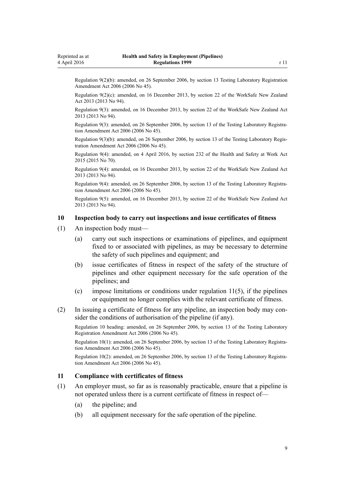<span id="page-8-0"></span>Regulation 9(2)(b): amended, on 26 September 2006, by [section 13](http://prd-lgnz-nlb.prd.pco.net.nz/pdflink.aspx?id=DLM382636) Testing Laboratory Registration Amendment Act 2006 (2006 No 45).

Regulation 9(2)(c): amended, on 16 December 2013, by [section 22](http://prd-lgnz-nlb.prd.pco.net.nz/pdflink.aspx?id=DLM5302071) of the WorkSafe New Zealand Act 2013 (2013 No 94).

Regulation 9(3): amended, on 16 December 2013, by [section 22](http://prd-lgnz-nlb.prd.pco.net.nz/pdflink.aspx?id=DLM5302071) of the WorkSafe New Zealand Act 2013 (2013 No 94).

Regulation 9(3): amended, on 26 September 2006, by [section 13](http://prd-lgnz-nlb.prd.pco.net.nz/pdflink.aspx?id=DLM382636) of the Testing Laboratory Registration Amendment Act 2006 (2006 No 45).

Regulation 9(3)(b): amended, on 26 September 2006, by [section 13](http://prd-lgnz-nlb.prd.pco.net.nz/pdflink.aspx?id=DLM382636) of the Testing Laboratory Registration Amendment Act 2006 (2006 No 45).

Regulation 9(4): amended, on 4 April 2016, by [section 232](http://prd-lgnz-nlb.prd.pco.net.nz/pdflink.aspx?id=DLM5977236) of the Health and Safety at Work Act 2015 (2015 No 70).

Regulation 9(4): amended, on 16 December 2013, by [section 22](http://prd-lgnz-nlb.prd.pco.net.nz/pdflink.aspx?id=DLM5302071) of the WorkSafe New Zealand Act 2013 (2013 No 94).

Regulation 9(4): amended, on 26 September 2006, by [section 13](http://prd-lgnz-nlb.prd.pco.net.nz/pdflink.aspx?id=DLM382636) of the Testing Laboratory Registration Amendment Act 2006 (2006 No 45).

Regulation 9(5): amended, on 16 December 2013, by [section 22](http://prd-lgnz-nlb.prd.pco.net.nz/pdflink.aspx?id=DLM5302071) of the WorkSafe New Zealand Act 2013 (2013 No 94).

#### **10 Inspection body to carry out inspections and issue certificates of fitness**

- (1) An inspection body must—
	- (a) carry out such inspections or examinations of pipelines, and equipment fixed to or associated with pipelines, as may be necessary to determine the safety of such pipelines and equipment; and
	- (b) issue certificates of fitness in respect of the safety of the structure of pipelines and other equipment necessary for the safe operation of the pipelines; and
	- (c) impose limitations or conditions under regulation  $11(5)$ , if the pipelines or equipment no longer complies with the relevant certificate of fitness.
- (2) In issuing a certificate of fitness for any pipeline, an inspection body may consider the conditions of authorisation of the pipeline (if any).

Regulation 10 heading: amended, on 26 September 2006, by [section 13](http://prd-lgnz-nlb.prd.pco.net.nz/pdflink.aspx?id=DLM382636) of the Testing Laboratory Registration Amendment Act 2006 (2006 No 45).

Regulation 10(1): amended, on 26 September 2006, by [section 13](http://prd-lgnz-nlb.prd.pco.net.nz/pdflink.aspx?id=DLM382636) of the Testing Laboratory Registration Amendment Act 2006 (2006 No 45).

Regulation 10(2): amended, on 26 September 2006, by [section 13](http://prd-lgnz-nlb.prd.pco.net.nz/pdflink.aspx?id=DLM382636) of the Testing Laboratory Registration Amendment Act 2006 (2006 No 45).

#### **11 Compliance with certificates of fitness**

- (1) An employer must, so far as is reasonably practicable, ensure that a pipeline is not operated unless there is a current certificate of fitness in respect of—
	- (a) the pipeline; and
	- (b) all equipment necessary for the safe operation of the pipeline.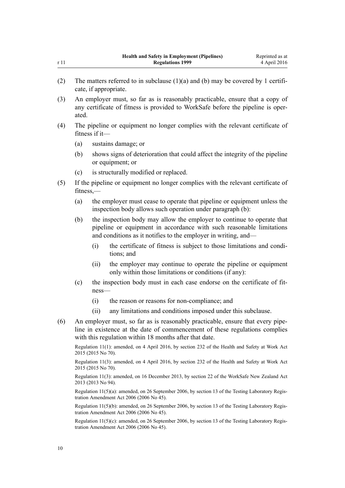|      | <b>Health and Safety in Employment (Pipelines)</b> | Reprinted as at |
|------|----------------------------------------------------|-----------------|
| r 11 | <b>Regulations 1999</b>                            | 4 April 2016    |

- (2) The matters referred to in subclause  $(1)(a)$  and  $(b)$  may be covered by 1 certificate, if appropriate.
- (3) An employer must, so far as is reasonably practicable, ensure that a copy of any certificate of fitness is provided to WorkSafe before the pipeline is operated.
- (4) The pipeline or equipment no longer complies with the relevant certificate of fitness if it—
	- (a) sustains damage; or
	- (b) shows signs of deterioration that could affect the integrity of the pipeline or equipment; or
	- (c) is structurally modified or replaced.
- (5) If the pipeline or equipment no longer complies with the relevant certificate of fitness,—
	- (a) the employer must cease to operate that pipeline or equipment unless the inspection body allows such operation under paragraph (b):
	- (b) the inspection body may allow the employer to continue to operate that pipeline or equipment in accordance with such reasonable limitations and conditions as it notifies to the employer in writing, and—
		- (i) the certificate of fitness is subject to those limitations and conditions; and
		- (ii) the employer may continue to operate the pipeline or equipment only within those limitations or conditions (if any):
	- (c) the inspection body must in each case endorse on the certificate of fitness—
		- (i) the reason or reasons for non-compliance; and
		- (ii) any limitations and conditions imposed under this subclause.
- (6) An employer must, so far as is reasonably practicable, ensure that every pipeline in existence at the date of commencement of these regulations complies with this regulation within 18 months after that date.

Regulation 11(1): amended, on 4 April 2016, by [section 232](http://prd-lgnz-nlb.prd.pco.net.nz/pdflink.aspx?id=DLM5977236) of the Health and Safety at Work Act 2015 (2015 No 70).

Regulation 11(3): amended, on 4 April 2016, by [section 232](http://prd-lgnz-nlb.prd.pco.net.nz/pdflink.aspx?id=DLM5977236) of the Health and Safety at Work Act 2015 (2015 No 70).

Regulation 11(3): amended, on 16 December 2013, by [section 22](http://prd-lgnz-nlb.prd.pco.net.nz/pdflink.aspx?id=DLM5302071) of the WorkSafe New Zealand Act 2013 (2013 No 94).

Regulation 11(5)(a): amended, on 26 September 2006, by [section 13](http://prd-lgnz-nlb.prd.pco.net.nz/pdflink.aspx?id=DLM382636) of the Testing Laboratory Registration Amendment Act 2006 (2006 No 45).

Regulation 11(5)(b): amended, on 26 September 2006, by [section 13](http://prd-lgnz-nlb.prd.pco.net.nz/pdflink.aspx?id=DLM382636) of the Testing Laboratory Registration Amendment Act 2006 (2006 No 45).

Regulation 11(5)(c): amended, on 26 September 2006, by [section 13](http://prd-lgnz-nlb.prd.pco.net.nz/pdflink.aspx?id=DLM382636) of the Testing Laboratory Registration Amendment Act 2006 (2006 No 45).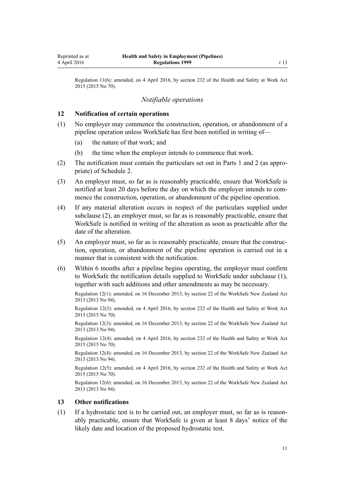<span id="page-10-0"></span>Regulation 11(6): amended, on 4 April 2016, by [section 232](http://prd-lgnz-nlb.prd.pco.net.nz/pdflink.aspx?id=DLM5977236) of the Health and Safety at Work Act 2015 (2015 No 70).

## *Notifiable operations*

#### **12 Notification of certain operations**

- (1) No employer may commence the construction, operation, or abandonment of a pipeline operation unless WorkSafe has first been notified in writing of—
	- (a) the nature of that work; and
	- (b) the time when the employer intends to commence that work.
- (2) The notification must contain the particulars set out in [Parts 1](#page-15-0) and [2](#page-16-0) (as appropriate) of Schedule 2.
- (3) An employer must, so far as is reasonably practicable, ensure that WorkSafe is notified at least 20 days before the day on which the employer intends to commence the construction, operation, or abandonment of the pipeline operation.
- (4) If any material alteration occurs in respect of the particulars supplied under subclause (2), an employer must, so far as is reasonably practicable, ensure that WorkSafe is notified in writing of the alteration as soon as practicable after the date of the alteration.
- (5) An employer must, so far as is reasonably practicable, ensure that the construction, operation, or abandonment of the pipeline operation is carried out in a manner that is consistent with the notification.
- (6) Within 6 months after a pipeline begins operating, the employer must confirm to WorkSafe the notification details supplied to WorkSafe under subclause (1), together with such additions and other amendments as may be necessary.

Regulation 12(1): amended, on 16 December 2013, by [section 22](http://prd-lgnz-nlb.prd.pco.net.nz/pdflink.aspx?id=DLM5302071) of the WorkSafe New Zealand Act 2013 (2013 No 94).

Regulation 12(3): amended, on 4 April 2016, by [section 232](http://prd-lgnz-nlb.prd.pco.net.nz/pdflink.aspx?id=DLM5977236) of the Health and Safety at Work Act 2015 (2015 No 70).

Regulation 12(3): amended, on 16 December 2013, by [section 22](http://prd-lgnz-nlb.prd.pco.net.nz/pdflink.aspx?id=DLM5302071) of the WorkSafe New Zealand Act 2013 (2013 No 94).

Regulation 12(4): amended, on 4 April 2016, by [section 232](http://prd-lgnz-nlb.prd.pco.net.nz/pdflink.aspx?id=DLM5977236) of the Health and Safety at Work Act 2015 (2015 No 70).

Regulation 12(4): amended, on 16 December 2013, by [section 22](http://prd-lgnz-nlb.prd.pco.net.nz/pdflink.aspx?id=DLM5302071) of the WorkSafe New Zealand Act 2013 (2013 No 94).

Regulation 12(5): amended, on 4 April 2016, by [section 232](http://prd-lgnz-nlb.prd.pco.net.nz/pdflink.aspx?id=DLM5977236) of the Health and Safety at Work Act 2015 (2015 No 70).

Regulation 12(6): amended, on 16 December 2013, by [section 22](http://prd-lgnz-nlb.prd.pco.net.nz/pdflink.aspx?id=DLM5302071) of the WorkSafe New Zealand Act 2013 (2013 No 94).

#### **13 Other notifications**

(1) If a hydrostatic test is to be carried out, an employer must, so far as is reasonably practicable, ensure that WorkSafe is given at least 8 days' notice of the likely date and location of the proposed hydrostatic test.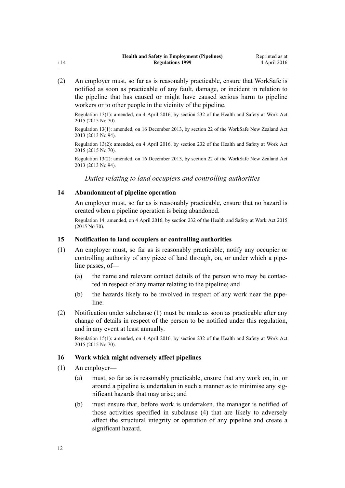<span id="page-11-0"></span>(2) An employer must, so far as is reasonably practicable, ensure that WorkSafe is notified as soon as practicable of any fault, damage, or incident in relation to the pipeline that has caused or might have caused serious harm to pipeline workers or to other people in the vicinity of the pipeline.

Regulation 13(1): amended, on 4 April 2016, by [section 232](http://prd-lgnz-nlb.prd.pco.net.nz/pdflink.aspx?id=DLM5977236) of the Health and Safety at Work Act 2015 (2015 No 70).

Regulation 13(1): amended, on 16 December 2013, by [section 22](http://prd-lgnz-nlb.prd.pco.net.nz/pdflink.aspx?id=DLM5302071) of the WorkSafe New Zealand Act 2013 (2013 No 94).

Regulation 13(2): amended, on 4 April 2016, by [section 232](http://prd-lgnz-nlb.prd.pco.net.nz/pdflink.aspx?id=DLM5977236) of the Health and Safety at Work Act 2015 (2015 No 70).

Regulation 13(2): amended, on 16 December 2013, by [section 22](http://prd-lgnz-nlb.prd.pco.net.nz/pdflink.aspx?id=DLM5302071) of the WorkSafe New Zealand Act 2013 (2013 No 94).

*Duties relating to land occupiers and controlling authorities*

### **14 Abandonment of pipeline operation**

An employer must, so far as is reasonably practicable, ensure that no hazard is created when a pipeline operation is being abandoned.

Regulation 14: amended, on 4 April 2016, by [section 232](http://prd-lgnz-nlb.prd.pco.net.nz/pdflink.aspx?id=DLM5977236) of the Health and Safety at Work Act 2015 (2015 No 70).

#### **15 Notification to land occupiers or controlling authorities**

- (1) An employer must, so far as is reasonably practicable, notify any occupier or controlling authority of any piece of land through, on, or under which a pipeline passes, of—
	- (a) the name and relevant contact details of the person who may be contacted in respect of any matter relating to the pipeline; and
	- (b) the hazards likely to be involved in respect of any work near the pipeline.
- (2) Notification under subclause (1) must be made as soon as practicable after any change of details in respect of the person to be notified under this regulation, and in any event at least annually.

Regulation 15(1): amended, on 4 April 2016, by [section 232](http://prd-lgnz-nlb.prd.pco.net.nz/pdflink.aspx?id=DLM5977236) of the Health and Safety at Work Act 2015 (2015 No 70).

### **16 Work which might adversely affect pipelines**

- (1) An employer—
	- (a) must, so far as is reasonably practicable, ensure that any work on, in, or around a pipeline is undertaken in such a manner as to minimise any significant hazards that may arise; and
	- (b) must ensure that, before work is undertaken, the manager is notified of those activities specified in subclause (4) that are likely to adversely affect the structural integrity or operation of any pipeline and create a significant hazard.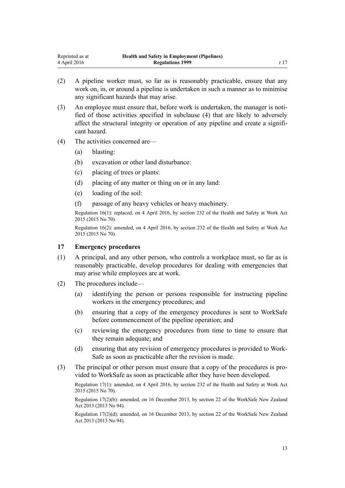- <span id="page-12-0"></span>(2) A pipeline worker must, so far as is reasonably practicable, ensure that any work on, in, or around a pipeline is undertaken in such a manner as to minimise any significant hazards that may arise.
- (3) An employee must ensure that, before work is undertaken, the manager is notified of those activities specified in subclause (4) that are likely to adversely affect the structural integrity or operation of any pipeline and create a significant hazard.
- (4) The activities concerned are—
	- (a) blasting:
	- (b) excavation or other land disturbance:
	- (c) placing of trees or plants:
	- (d) placing of any matter or thing on or in any land:
	- (e) loading of the soil:
	- (f) passage of any heavy vehicles or heavy machinery.

Regulation 16(1): replaced, on 4 April 2016, by [section 232](http://prd-lgnz-nlb.prd.pco.net.nz/pdflink.aspx?id=DLM5977236) of the Health and Safety at Work Act 2015 (2015 No 70).

Regulation 16(2): amended, on 4 April 2016, by [section 232](http://prd-lgnz-nlb.prd.pco.net.nz/pdflink.aspx?id=DLM5977236) of the Health and Safety at Work Act 2015 (2015 No 70).

### **17 Emergency procedures**

- (1) A principal, and any other person, who controls a workplace must, so far as is reasonably practicable, develop procedures for dealing with emergencies that may arise while employees are at work.
- (2) The procedures include—
	- (a) identifying the person or persons responsible for instructing pipeline workers in the emergency procedures; and
	- (b) ensuring that a copy of the emergency procedures is sent to WorkSafe before commencement of the pipeline operation; and
	- (c) reviewing the emergency procedures from time to time to ensure that they remain adequate; and
	- (d) ensuring that any revision of emergency procedures is provided to Work-Safe as soon as practicable after the revision is made.
- (3) The principal or other person must ensure that a copy of the procedures is provided to WorkSafe as soon as practicable after they have been developed.

Regulation 17(1): amended, on 4 April 2016, by [section 232](http://prd-lgnz-nlb.prd.pco.net.nz/pdflink.aspx?id=DLM5977236) of the Health and Safety at Work Act 2015 (2015 No 70).

Regulation 17(2)(b): amended, on 16 December 2013, by [section 22](http://prd-lgnz-nlb.prd.pco.net.nz/pdflink.aspx?id=DLM5302071) of the WorkSafe New Zealand Act 2013 (2013 No 94).

Regulation 17(2)(d): amended, on 16 December 2013, by [section 22](http://prd-lgnz-nlb.prd.pco.net.nz/pdflink.aspx?id=DLM5302071) of the WorkSafe New Zealand Act 2013 (2013 No 94).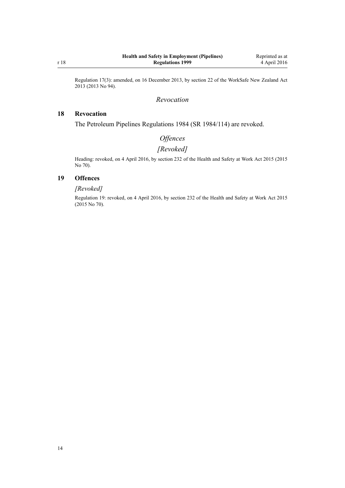<span id="page-13-0"></span>Regulation 17(3): amended, on 16 December 2013, by [section 22](http://prd-lgnz-nlb.prd.pco.net.nz/pdflink.aspx?id=DLM5302071) of the WorkSafe New Zealand Act 2013 (2013 No 94).

#### *Revocation*

## **18 Revocation**

The Petroleum Pipelines Regulations 1984 (SR 1984/114) are revoked.

## *Offences*

# *[Revoked]*

Heading: revoked, on 4 April 2016, by [section 232](http://prd-lgnz-nlb.prd.pco.net.nz/pdflink.aspx?id=DLM5977236) of the Health and Safety at Work Act 2015 (2015 No 70).

## **19 Offences**

## *[Revoked]*

Regulation 19: revoked, on 4 April 2016, by [section 232](http://prd-lgnz-nlb.prd.pco.net.nz/pdflink.aspx?id=DLM5977236) of the Health and Safety at Work Act 2015 (2015 No 70).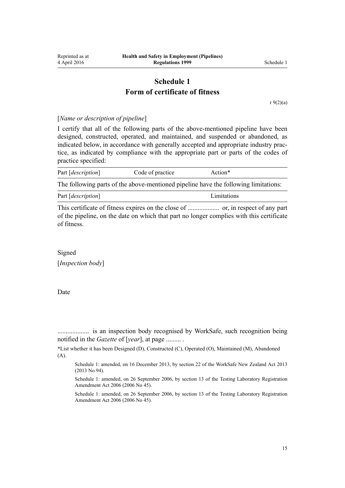## **Schedule 1 Form of certificate of fitness**

[r 9\(2\)\(a\)](#page-6-0)

<span id="page-14-0"></span>[*Name or description of pipeline*]

I certify that all of the following parts of the above-mentioned pipeline have been designed, constructed, operated, and maintained, and suspended or abandoned, as indicated below, in accordance with generally accepted and appropriate industry practice, as indicated by compliance with the appropriate part or parts of the codes of practice specified:

| Part [ <i>description</i> ] | Code of practice | Action*                                                                             |  |
|-----------------------------|------------------|-------------------------------------------------------------------------------------|--|
|                             |                  | The following parts of the above-mentioned pipeline have the following limitations: |  |

Part [*description*] Limitations

This certificate of fitness expires on the close of ................... or, in respect of any part of the pipeline, on the date on which that part no longer complies with this certificate of fitness.

Signed [*Inspection body*]

Date

................... is an inspection body recognised by WorkSafe, such recognition being notified in the *Gazette* of [*year*], at page ......... .

\*List whether it has been Designed (D), Constructed (C), Operated (O), Maintained (M), Abandoned (A).

Schedule 1: amended, on 16 December 2013, by [section 22](http://prd-lgnz-nlb.prd.pco.net.nz/pdflink.aspx?id=DLM5302071) of the WorkSafe New Zealand Act 2013 (2013 No 94).

Schedule 1: amended, on 26 September 2006, by [section 13](http://prd-lgnz-nlb.prd.pco.net.nz/pdflink.aspx?id=DLM382636) of the Testing Laboratory Registration Amendment Act 2006 (2006 No 45).

Schedule 1: amended, on 26 September 2006, by [section 13](http://prd-lgnz-nlb.prd.pco.net.nz/pdflink.aspx?id=DLM382636) of the Testing Laboratory Registration Amendment Act 2006 (2006 No 45).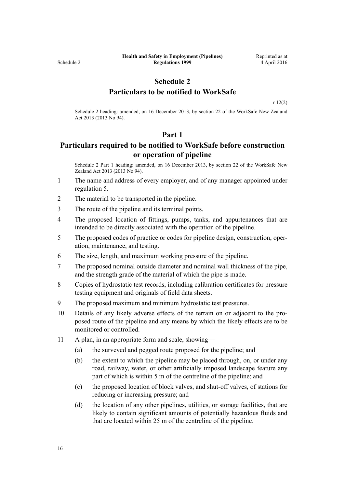## **Schedule 2 Particulars to be notified to WorkSafe**

[r 12\(2\)](#page-10-0)

<span id="page-15-0"></span>Schedule 2 heading: amended, on 16 December 2013, by [section 22](http://prd-lgnz-nlb.prd.pco.net.nz/pdflink.aspx?id=DLM5302071) of the WorkSafe New Zealand Act 2013 (2013 No 94).

#### **Part 1**

## **Particulars required to be notified to WorkSafe before construction or operation of pipeline**

Schedule 2 Part 1 heading: amended, on 16 December 2013, by [section 22](http://prd-lgnz-nlb.prd.pco.net.nz/pdflink.aspx?id=DLM5302071) of the WorkSafe New Zealand Act 2013 (2013 No 94).

- 1 The name and address of every employer, and of any manager appointed under [regulation 5](#page-5-0).
- 2 The material to be transported in the pipeline.
- 3 The route of the pipeline and its terminal points.
- 4 The proposed location of fittings, pumps, tanks, and appurtenances that are intended to be directly associated with the operation of the pipeline.
- 5 The proposed codes of practice or codes for pipeline design, construction, operation, maintenance, and testing.
- 6 The size, length, and maximum working pressure of the pipeline.
- 7 The proposed nominal outside diameter and nominal wall thickness of the pipe, and the strength grade of the material of which the pipe is made.
- 8 Copies of hydrostatic test records, including calibration certificates for pressure testing equipment and originals of field data sheets.
- 9 The proposed maximum and minimum hydrostatic test pressures.
- 10 Details of any likely adverse effects of the terrain on or adjacent to the proposed route of the pipeline and any means by which the likely effects are to be monitored or controlled.
- 11 A plan, in an appropriate form and scale, showing—
	- (a) the surveyed and pegged route proposed for the pipeline; and
	- (b) the extent to which the pipeline may be placed through, on, or under any road, railway, water, or other artificially imposed landscape feature any part of which is within 5 m of the centreline of the pipeline; and
	- (c) the proposed location of block valves, and shut-off valves, of stations for reducing or increasing pressure; and
	- (d) the location of any other pipelines, utilities, or storage facilities, that are likely to contain significant amounts of potentially hazardous fluids and that are located within 25 m of the centreline of the pipeline.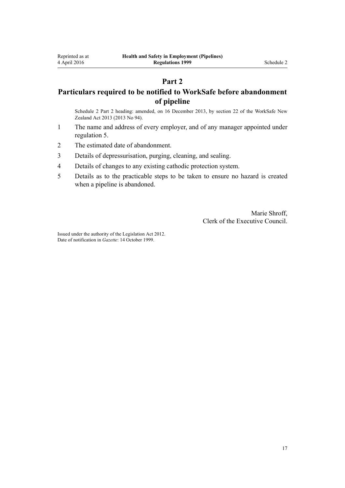## **Part 2**

## <span id="page-16-0"></span>**Particulars required to be notified to WorkSafe before abandonment of pipeline**

Schedule 2 Part 2 heading: amended, on 16 December 2013, by [section 22](http://prd-lgnz-nlb.prd.pco.net.nz/pdflink.aspx?id=DLM5302071) of the WorkSafe New Zealand Act 2013 (2013 No 94).

- 1 The name and address of every employer, and of any manager appointed under [regulation 5](#page-5-0).
- 2 The estimated date of abandonment.
- 3 Details of depressurisation, purging, cleaning, and sealing.
- 4 Details of changes to any existing cathodic protection system.
- 5 Details as to the practicable steps to be taken to ensure no hazard is created when a pipeline is abandoned.

Marie Shroff, Clerk of the Executive Council.

Issued under the authority of the [Legislation Act 2012](http://prd-lgnz-nlb.prd.pco.net.nz/pdflink.aspx?id=DLM2997643). Date of notification in *Gazette*: 14 October 1999.